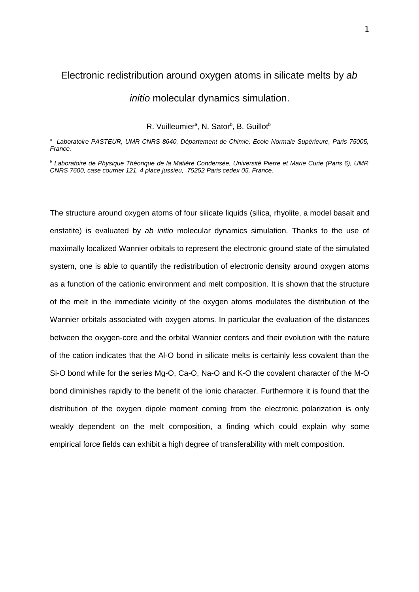## Electronic redistribution around oxygen atoms in silicate melts by *ab*

## *initio* molecular dynamics simulation.

#### R. Vuilleumier<sup>a</sup>, N. Sator<sup>b</sup>, B. Guillot<sup>b</sup>

*a Laboratoire PASTEUR, UMR CNRS 8640, Département de Chimie, Ecole Normale Supérieure, Paris 75005, France.*

*b Laboratoire de Physique Théorique de la Matière Condensée, Université Pierre et Marie Curie (Paris 6), UMR CNRS 7600, case courrier 121, 4 place jussieu, 75252 Paris cedex 05, France.*

The structure around oxygen atoms of four silicate liquids (silica, rhyolite, a model basalt and enstatite) is evaluated by *ab initio* molecular dynamics simulation. Thanks to the use of maximally localized Wannier orbitals to represent the electronic ground state of the simulated system, one is able to quantify the redistribution of electronic density around oxygen atoms as a function of the cationic environment and melt composition. It is shown that the structure of the melt in the immediate vicinity of the oxygen atoms modulates the distribution of the Wannier orbitals associated with oxygen atoms. In particular the evaluation of the distances between the oxygen-core and the orbital Wannier centers and their evolution with the nature of the cation indicates that the Al-O bond in silicate melts is certainly less covalent than the Si-O bond while for the series Mg-O, Ca-O, Na-O and K-O the covalent character of the M-O bond diminishes rapidly to the benefit of the ionic character. Furthermore it is found that the distribution of the oxygen dipole moment coming from the electronic polarization is only weakly dependent on the melt composition, a finding which could explain why some empirical force fields can exhibit a high degree of transferability with melt composition.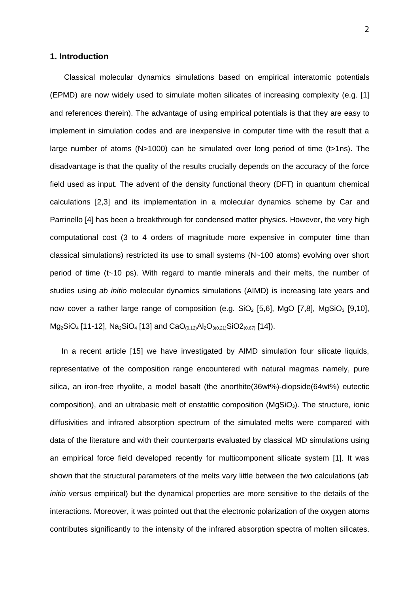#### **1. Introduction**

 Classical molecular dynamics simulations based on empirical interatomic potentials (EPMD) are now widely used to simulate molten silicates of increasing complexity (e.g. [1] and references therein). The advantage of using empirical potentials is that they are easy to implement in simulation codes and are inexpensive in computer time with the result that a large number of atoms (N>1000) can be simulated over long period of time (t>1ns). The disadvantage is that the quality of the results crucially depends on the accuracy of the force field used as input. The advent of the density functional theory (DFT) in quantum chemical calculations [2,3] and its implementation in a molecular dynamics scheme by Car and Parrinello [4] has been a breakthrough for condensed matter physics. However, the very high computational cost (3 to 4 orders of magnitude more expensive in computer time than classical simulations) restricted its use to small systems (N~100 atoms) evolving over short period of time (t~10 ps). With regard to mantle minerals and their melts, the number of studies using *ab initio* molecular dynamics simulations (AIMD) is increasing late years and now cover a rather large range of composition (e.g.  $SiO<sub>2</sub>$  [5,6], MgO [7,8], MgSiO<sub>3</sub> [9,10], Mg<sub>2</sub>SiO<sub>4</sub> [11-12], Na<sub>2</sub>SiO<sub>4</sub> [13] and CaO<sub>(0.12)</sub>Al<sub>2</sub>O<sub>3(0.21)</sub>SiO2<sub>(0.67)</sub> [14]).

 In a recent article [15] we have investigated by AIMD simulation four silicate liquids, representative of the composition range encountered with natural magmas namely, pure silica, an iron-free rhyolite, a model basalt (the anorthite(36wt%)-diopside(64wt%) eutectic composition), and an ultrabasic melt of enstatitic composition ( $MqSiO<sub>3</sub>$ ). The structure, ionic diffusivities and infrared absorption spectrum of the simulated melts were compared with data of the literature and with their counterparts evaluated by classical MD simulations using an empirical force field developed recently for multicomponent silicate system [1]. It was shown that the structural parameters of the melts vary little between the two calculations (*ab initio* versus empirical) but the dynamical properties are more sensitive to the details of the interactions. Moreover, it was pointed out that the electronic polarization of the oxygen atoms contributes significantly to the intensity of the infrared absorption spectra of molten silicates.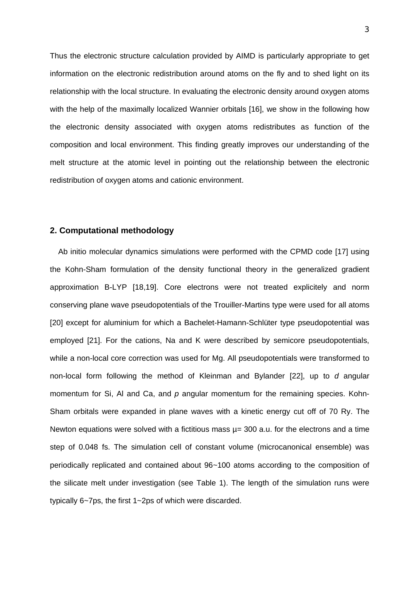Thus the electronic structure calculation provided by AIMD is particularly appropriate to get information on the electronic redistribution around atoms on the fly and to shed light on its relationship with the local structure. In evaluating the electronic density around oxygen atoms with the help of the maximally localized Wannier orbitals [16], we show in the following how the electronic density associated with oxygen atoms redistributes as function of the composition and local environment. This finding greatly improves our understanding of the melt structure at the atomic level in pointing out the relationship between the electronic redistribution of oxygen atoms and cationic environment.

# **2. Computational methodology**

 Ab initio molecular dynamics simulations were performed with the CPMD code [17] using the Kohn-Sham formulation of the density functional theory in the generalized gradient approximation B-LYP [18,19]. Core electrons were not treated explicitely and norm conserving plane wave pseudopotentials of the Trouiller-Martins type were used for all atoms [20] except for aluminium for which a Bachelet-Hamann-Schlüter type pseudopotential was employed [21]. For the cations, Na and K were described by semicore pseudopotentials, while a non-local core correction was used for Mg. All pseudopotentials were transformed to non-local form following the method of Kleinman and Bylander [22], up to *d* angular momentum for Si, Al and Ca, and *p* angular momentum for the remaining species. Kohn-Sham orbitals were expanded in plane waves with a kinetic energy cut off of 70 Ry. The Newton equations were solved with a fictitious mass  $\mu$  = 300 a.u. for the electrons and a time step of 0.048 fs. The simulation cell of constant volume (microcanonical ensemble) was periodically replicated and contained about 96~100 atoms according to the composition of the silicate melt under investigation (see Table 1). The length of the simulation runs were typically 6~7ps, the first 1~2ps of which were discarded.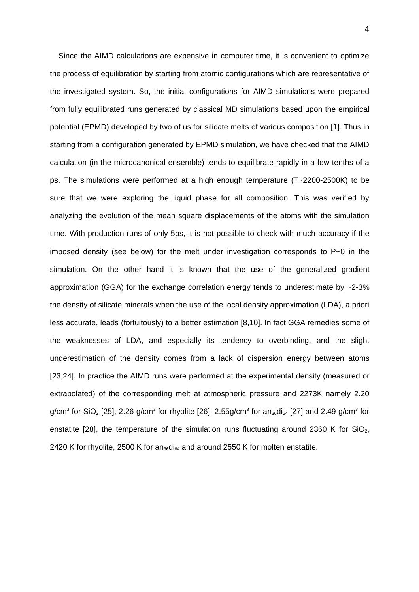Since the AIMD calculations are expensive in computer time, it is convenient to optimize the process of equilibration by starting from atomic configurations which are representative of the investigated system. So, the initial configurations for AIMD simulations were prepared from fully equilibrated runs generated by classical MD simulations based upon the empirical potential (EPMD) developed by two of us for silicate melts of various composition [1]. Thus in starting from a configuration generated by EPMD simulation, we have checked that the AIMD calculation (in the microcanonical ensemble) tends to equilibrate rapidly in a few tenths of a ps. The simulations were performed at a high enough temperature (T~2200-2500K) to be sure that we were exploring the liquid phase for all composition. This was verified by analyzing the evolution of the mean square displacements of the atoms with the simulation time. With production runs of only 5ps, it is not possible to check with much accuracy if the imposed density (see below) for the melt under investigation corresponds to P~0 in the simulation. On the other hand it is known that the use of the generalized gradient approximation (GGA) for the exchange correlation energy tends to underestimate by  $\sim$ 2-3% the density of silicate minerals when the use of the local density approximation (LDA), a priori less accurate, leads (fortuitously) to a better estimation [8,10]. In fact GGA remedies some of the weaknesses of LDA, and especially its tendency to overbinding, and the slight underestimation of the density comes from a lack of dispersion energy between atoms [23,24]. In practice the AIMD runs were performed at the experimental density (measured or extrapolated) of the corresponding melt at atmospheric pressure and 2273K namely 2.20 g/cm $^3$  for SiO $_2$  [25], 2.26 g/cm $^3$  for rhyolite [26], 2.55g/cm $^3$  for an $_{36}$ di $_{64}$  [27] and 2.49 g/cm $^3$  for enstatite [28], the temperature of the simulation runs fluctuating around 2360 K for SiO<sub>2</sub>, 2420 K for rhyolite, 2500 K for an $36$ di $64$  and around 2550 K for molten enstatite.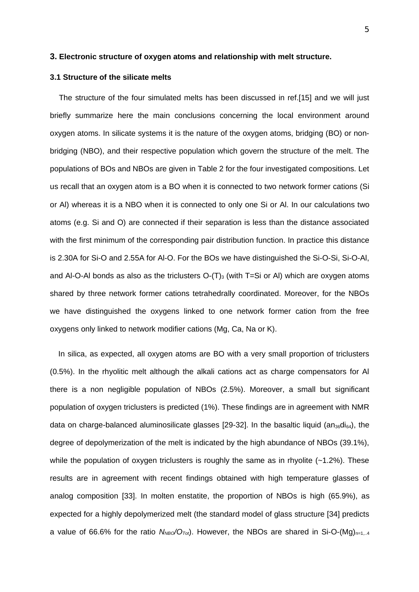#### **3. Electronic structure of oxygen atoms and relationship with melt structure.**

#### **3.1 Structure of the silicate melts**

 The structure of the four simulated melts has been discussed in ref.[15] and we will just briefly summarize here the main conclusions concerning the local environment around oxygen atoms. In silicate systems it is the nature of the oxygen atoms, bridging (BO) or nonbridging (NBO), and their respective population which govern the structure of the melt. The populations of BOs and NBOs are given in Table 2 for the four investigated compositions. Let us recall that an oxygen atom is a BO when it is connected to two network former cations (Si or Al) whereas it is a NBO when it is connected to only one Si or Al. In our calculations two atoms (e.g. Si and O) are connected if their separation is less than the distance associated with the first minimum of the corresponding pair distribution function. In practice this distance is 2.30A for Si-O and 2.55A for Al-O. For the BOs we have distinguished the Si-O-Si, Si-O-Al, and Al-O-Al bonds as also as the triclusters  $O(T)$ <sub>3</sub> (with T=Si or Al) which are oxygen atoms shared by three network former cations tetrahedrally coordinated. Moreover, for the NBOs we have distinguished the oxygens linked to one network former cation from the free oxygens only linked to network modifier cations (Mg, Ca, Na or K).

 In silica, as expected, all oxygen atoms are BO with a very small proportion of triclusters (0.5%). In the rhyolitic melt although the alkali cations act as charge compensators for Al there is a non negligible population of NBOs (2.5%). Moreover, a small but significant population of oxygen triclusters is predicted (1%). These findings are in agreement with NMR data on charge-balanced aluminosilicate glasses [29-32]. In the basaltic liquid (an $_{36}$ di $_{64}$ ), the degree of depolymerization of the melt is indicated by the high abundance of NBOs (39.1%), while the population of oxygen triclusters is roughly the same as in rhyolite  $(-1.2\%)$ . These results are in agreement with recent findings obtained with high temperature glasses of analog composition [33]. In molten enstatite, the proportion of NBOs is high (65.9%), as expected for a highly depolymerized melt (the standard model of glass structure [34] predicts a value of 66.6% for the ratio  $N_{NBO}/O_{Tot}$ . However, the NBOs are shared in Si-O-(Mg)<sub>n=1,04</sub>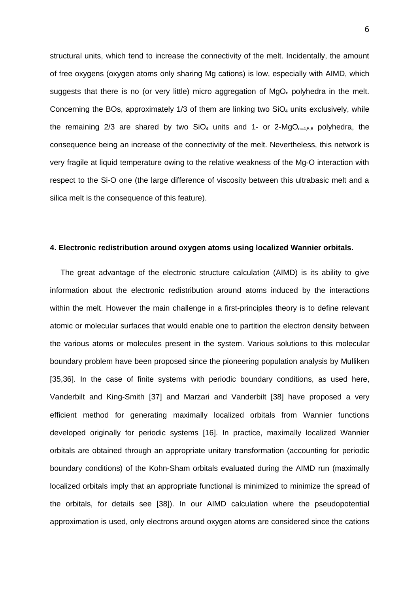structural units, which tend to increase the connectivity of the melt. Incidentally, the amount of free oxygens (oxygen atoms only sharing Mg cations) is low, especially with AIMD, which suggests that there is no (or very little) micro aggregation of  $MqO<sub>n</sub>$  polyhedra in the melt. Concerning the BOs, approximately  $1/3$  of them are linking two  $SiO<sub>4</sub>$  units exclusively, while the remaining 2/3 are shared by two  $SiO<sub>4</sub>$  units and 1- or 2-Mg $O<sub>n=4,5,6</sub>$  polyhedra, the consequence being an increase of the connectivity of the melt. Nevertheless, this network is very fragile at liquid temperature owing to the relative weakness of the Mg-O interaction with respect to the Si-O one (the large difference of viscosity between this ultrabasic melt and a silica melt is the consequence of this feature).

#### **4. Electronic redistribution around oxygen atoms using localized Wannier orbitals.**

 The great advantage of the electronic structure calculation (AIMD) is its ability to give information about the electronic redistribution around atoms induced by the interactions within the melt. However the main challenge in a first-principles theory is to define relevant atomic or molecular surfaces that would enable one to partition the electron density between the various atoms or molecules present in the system. Various solutions to this molecular boundary problem have been proposed since the pioneering population analysis by Mulliken [35,36]. In the case of finite systems with periodic boundary conditions, as used here, Vanderbilt and King-Smith [37] and Marzari and Vanderbilt [38] have proposed a very efficient method for generating maximally localized orbitals from Wannier functions developed originally for periodic systems [16]. In practice, maximally localized Wannier orbitals are obtained through an appropriate unitary transformation (accounting for periodic boundary conditions) of the Kohn-Sham orbitals evaluated during the AIMD run (maximally localized orbitals imply that an appropriate functional is minimized to minimize the spread of the orbitals, for details see [38]). In our AIMD calculation where the pseudopotential approximation is used, only electrons around oxygen atoms are considered since the cations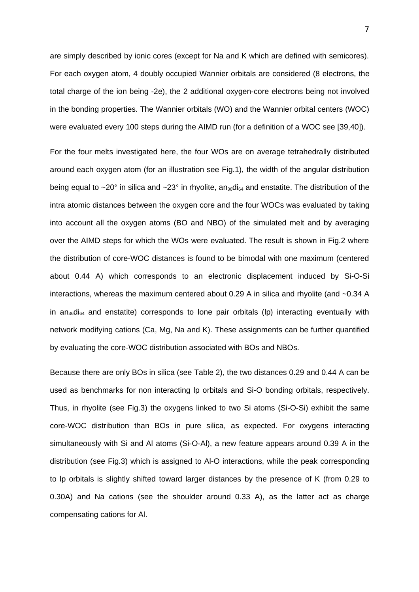are simply described by ionic cores (except for Na and K which are defined with semicores). For each oxygen atom, 4 doubly occupied Wannier orbitals are considered (8 electrons, the total charge of the ion being -2e), the 2 additional oxygen-core electrons being not involved in the bonding properties. The Wannier orbitals (WO) and the Wannier orbital centers (WOC) were evaluated every 100 steps during the AIMD run (for a definition of a WOC see [39,40]).

For the four melts investigated here, the four WOs are on average tetrahedrally distributed around each oxygen atom (for an illustration see Fig.1), the width of the angular distribution being equal to ~20° in silica and ~23° in rhyolite, an<sub>36</sub>di<sub>64</sub> and enstatite. The distribution of the intra atomic distances between the oxygen core and the four WOCs was evaluated by taking into account all the oxygen atoms (BO and NBO) of the simulated melt and by averaging over the AIMD steps for which the WOs were evaluated. The result is shown in Fig.2 where the distribution of core-WOC distances is found to be bimodal with one maximum (centered about 0.44 A) which corresponds to an electronic displacement induced by Si-O-Si interactions, whereas the maximum centered about 0.29 A in silica and rhyolite (and ~0.34 A in  $a_{136}di_{64}$  and enstatite) corresponds to lone pair orbitals (lp) interacting eventually with network modifying cations (Ca, Mg, Na and K). These assignments can be further quantified by evaluating the core-WOC distribution associated with BOs and NBOs.

Because there are only BOs in silica (see Table 2), the two distances 0.29 and 0.44 A can be used as benchmarks for non interacting lp orbitals and Si-O bonding orbitals, respectively. Thus, in rhyolite (see Fig.3) the oxygens linked to two Si atoms (Si-O-Si) exhibit the same core-WOC distribution than BOs in pure silica, as expected. For oxygens interacting simultaneously with Si and Al atoms (Si-O-Al), a new feature appears around 0.39 A in the distribution (see Fig.3) which is assigned to Al-O interactions, while the peak corresponding to lp orbitals is slightly shifted toward larger distances by the presence of K (from 0.29 to 0.30A) and Na cations (see the shoulder around 0.33 A), as the latter act as charge compensating cations for Al.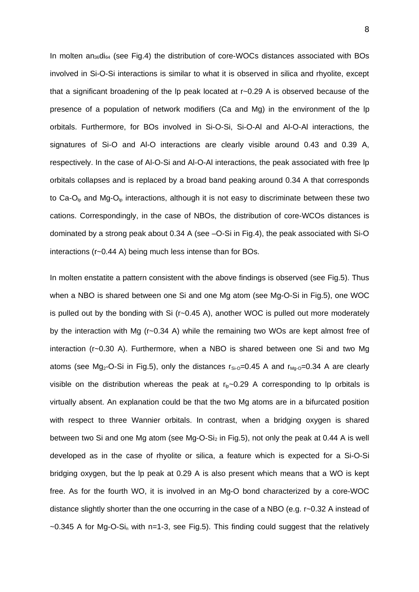In molten an $36d$ <sub>64</sub> (see Fig.4) the distribution of core-WOCs distances associated with BOs involved in Si-O-Si interactions is similar to what it is observed in silica and rhyolite, except that a significant broadening of the lp peak located at r~0.29 A is observed because of the presence of a population of network modifiers (Ca and Mg) in the environment of the lp orbitals. Furthermore, for BOs involved in Si-O-Si, Si-O-Al and Al-O-Al interactions, the signatures of Si-O and Al-O interactions are clearly visible around 0.43 and 0.39 A, respectively. In the case of Al-O-Si and Al-O-Al interactions, the peak associated with free lp orbitals collapses and is replaced by a broad band peaking around 0.34 A that corresponds to Ca-O<sub>lp</sub> and Mg-O<sub>lp</sub> interactions, although it is not easy to discriminate between these two cations. Correspondingly, in the case of NBOs, the distribution of core-WCOs distances is dominated by a strong peak about 0.34 A (see –O-Si in Fig.4), the peak associated with Si-O interactions (r~0.44 A) being much less intense than for BOs.

In molten enstatite a pattern consistent with the above findings is observed (see Fig.5). Thus when a NBO is shared between one Si and one Mg atom (see Mg-O-Si in Fig.5), one WOC is pulled out by the bonding with Si (r~0.45 A), another WOC is pulled out more moderately by the interaction with Mg (r~0.34 A) while the remaining two WOs are kept almost free of interaction (r~0.30 A). Furthermore, when a NBO is shared between one Si and two Mg atoms (see Mg<sub>2</sub>-O-Si in Fig.5), only the distances  $r_{Si-O}=0.45$  A and  $r_{Mg-O}=0.34$  A are clearly visible on the distribution whereas the peak at  $r_{\text{lo}}$  -0.29 A corresponding to lp orbitals is virtually absent. An explanation could be that the two Mg atoms are in a bifurcated position with respect to three Wannier orbitals. In contrast, when a bridging oxygen is shared between two Si and one Mg atom (see Mg-O-Si<sub>2</sub> in Fig.5), not only the peak at 0.44 A is well developed as in the case of rhyolite or silica, a feature which is expected for a Si-O-Si bridging oxygen, but the lp peak at 0.29 A is also present which means that a WO is kept free. As for the fourth WO, it is involved in an Mg-O bond characterized by a core-WOC distance slightly shorter than the one occurring in the case of a NBO (e.g. r~0.32 A instead of  $\sim$ 0.345 A for Mg-O-Si<sub>n</sub> with n=1-3, see Fig.5). This finding could suggest that the relatively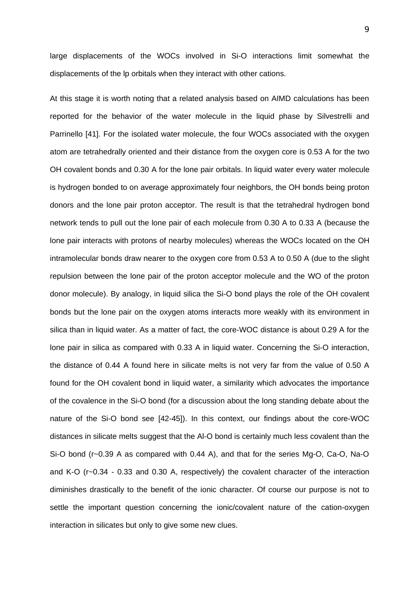large displacements of the WOCs involved in Si-O interactions limit somewhat the displacements of the lp orbitals when they interact with other cations.

At this stage it is worth noting that a related analysis based on AIMD calculations has been reported for the behavior of the water molecule in the liquid phase by Silvestrelli and Parrinello [41]. For the isolated water molecule, the four WOCs associated with the oxygen atom are tetrahedrally oriented and their distance from the oxygen core is 0.53 A for the two OH covalent bonds and 0.30 A for the lone pair orbitals. In liquid water every water molecule is hydrogen bonded to on average approximately four neighbors, the OH bonds being proton donors and the lone pair proton acceptor. The result is that the tetrahedral hydrogen bond network tends to pull out the lone pair of each molecule from 0.30 A to 0.33 A (because the lone pair interacts with protons of nearby molecules) whereas the WOCs located on the OH intramolecular bonds draw nearer to the oxygen core from 0.53 A to 0.50 A (due to the slight repulsion between the lone pair of the proton acceptor molecule and the WO of the proton donor molecule). By analogy, in liquid silica the Si-O bond plays the role of the OH covalent bonds but the lone pair on the oxygen atoms interacts more weakly with its environment in silica than in liquid water. As a matter of fact, the core-WOC distance is about 0.29 A for the lone pair in silica as compared with 0.33 A in liquid water. Concerning the Si-O interaction, the distance of 0.44 A found here in silicate melts is not very far from the value of 0.50 A found for the OH covalent bond in liquid water, a similarity which advocates the importance of the covalence in the Si-O bond (for a discussion about the long standing debate about the nature of the Si-O bond see [42-45]). In this context, our findings about the core-WOC distances in silicate melts suggest that the Al-O bond is certainly much less covalent than the Si-O bond (r~0.39 A as compared with 0.44 A), and that for the series Mg-O, Ca-O, Na-O and K-O (r~0.34 - 0.33 and 0.30 A, respectively) the covalent character of the interaction diminishes drastically to the benefit of the ionic character. Of course our purpose is not to settle the important question concerning the ionic/covalent nature of the cation-oxygen interaction in silicates but only to give some new clues.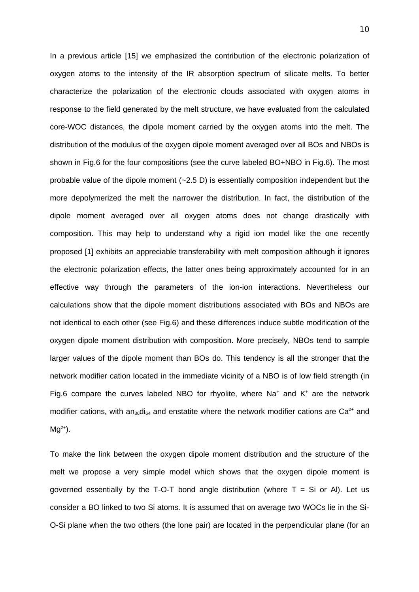In a previous article [15] we emphasized the contribution of the electronic polarization of oxygen atoms to the intensity of the IR absorption spectrum of silicate melts. To better characterize the polarization of the electronic clouds associated with oxygen atoms in response to the field generated by the melt structure, we have evaluated from the calculated core-WOC distances, the dipole moment carried by the oxygen atoms into the melt. The distribution of the modulus of the oxygen dipole moment averaged over all BOs and NBOs is shown in Fig.6 for the four compositions (see the curve labeled BO+NBO in Fig.6). The most probable value of the dipole moment  $(-2.5 \text{ D})$  is essentially composition independent but the more depolymerized the melt the narrower the distribution. In fact, the distribution of the dipole moment averaged over all oxygen atoms does not change drastically with composition. This may help to understand why a rigid ion model like the one recently proposed [1] exhibits an appreciable transferability with melt composition although it ignores the electronic polarization effects, the latter ones being approximately accounted for in an effective way through the parameters of the ion-ion interactions. Nevertheless our calculations show that the dipole moment distributions associated with BOs and NBOs are not identical to each other (see Fig.6) and these differences induce subtle modification of the oxygen dipole moment distribution with composition. More precisely, NBOs tend to sample larger values of the dipole moment than BOs do. This tendency is all the stronger that the network modifier cation located in the immediate vicinity of a NBO is of low field strength (in Fig.6 compare the curves labeled NBO for rhyolite, where Na<sup>+</sup> and K<sup>+</sup> are the network modifier cations, with an<sub>36</sub>di<sub>64</sub> and enstatite where the network modifier cations are Ca<sup>2+</sup> and  $Mq^{2+}$ ).

To make the link between the oxygen dipole moment distribution and the structure of the melt we propose a very simple model which shows that the oxygen dipole moment is governed essentially by the T-O-T bond angle distribution (where  $T = Si$  or Al). Let us consider a BO linked to two Si atoms. It is assumed that on average two WOCs lie in the Si-O-Si plane when the two others (the lone pair) are located in the perpendicular plane (for an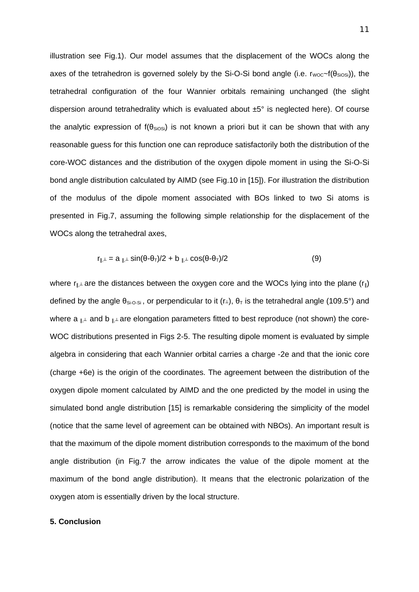illustration see Fig.1). Our model assumes that the displacement of the WOCs along the axes of the tetrahedron is governed solely by the Si-O-Si bond angle (i.e.  $r_{\text{woc}}$ -f( $\theta_{\text{SiOSi}}$ )), the tetrahedral configuration of the four Wannier orbitals remaining unchanged (the slight dispersion around tetrahedrality which is evaluated about ±5° is neglected here). Of course the analytic expression of  $f(\theta_{\text{SiOSi}})$  is not known a priori but it can be shown that with any reasonable guess for this function one can reproduce satisfactorily both the distribution of the core-WOC distances and the distribution of the oxygen dipole moment in using the Si-O-Si bond angle distribution calculated by AIMD (see Fig.10 in [15]). For illustration the distribution of the modulus of the dipole moment associated with BOs linked to two Si atoms is presented in Fig.7, assuming the following simple relationship for the displacement of the WOCs along the tetrahedral axes,

$$
r_{\parallel \perp} = a_{\parallel \perp} \sin(\theta - \theta_{\perp})/2 + b_{\parallel \perp} \cos(\theta - \theta_{\perp})/2 \tag{9}
$$

where  $r_{\parallel,\perp}$  are the distances between the oxygen core and the WOCs lying into the plane ( $r_{\parallel}$ ) defined by the angle  $\theta_{Si-O-Si}$ , or perpendicular to it (r⊥),  $\theta_T$  is the tetrahedral angle (109.5°) and where a  $\mathbb{L}$  and b  $\mathbb{L}$  are elongation parameters fitted to best reproduce (not shown) the core-WOC distributions presented in Figs 2-5. The resulting dipole moment is evaluated by simple algebra in considering that each Wannier orbital carries a charge -2e and that the ionic core (charge +6e) is the origin of the coordinates. The agreement between the distribution of the oxygen dipole moment calculated by AIMD and the one predicted by the model in using the simulated bond angle distribution [15] is remarkable considering the simplicity of the model (notice that the same level of agreement can be obtained with NBOs). An important result is that the maximum of the dipole moment distribution corresponds to the maximum of the bond angle distribution (in Fig.7 the arrow indicates the value of the dipole moment at the maximum of the bond angle distribution). It means that the electronic polarization of the oxygen atom is essentially driven by the local structure.

### **5. Conclusion**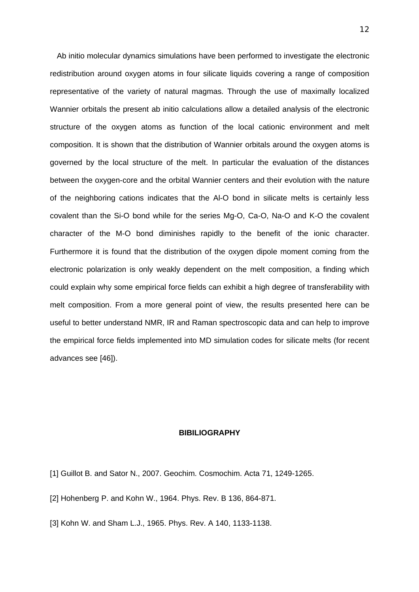Ab initio molecular dynamics simulations have been performed to investigate the electronic redistribution around oxygen atoms in four silicate liquids covering a range of composition representative of the variety of natural magmas. Through the use of maximally localized Wannier orbitals the present ab initio calculations allow a detailed analysis of the electronic structure of the oxygen atoms as function of the local cationic environment and melt composition. It is shown that the distribution of Wannier orbitals around the oxygen atoms is governed by the local structure of the melt. In particular the evaluation of the distances between the oxygen-core and the orbital Wannier centers and their evolution with the nature of the neighboring cations indicates that the Al-O bond in silicate melts is certainly less covalent than the Si-O bond while for the series Mg-O, Ca-O, Na-O and K-O the covalent character of the M-O bond diminishes rapidly to the benefit of the ionic character. Furthermore it is found that the distribution of the oxygen dipole moment coming from the electronic polarization is only weakly dependent on the melt composition, a finding which could explain why some empirical force fields can exhibit a high degree of transferability with melt composition. From a more general point of view, the results presented here can be useful to better understand NMR, IR and Raman spectroscopic data and can help to improve the empirical force fields implemented into MD simulation codes for silicate melts (for recent advances see [46]).

#### **BIBILIOGRAPHY**

- [1] Guillot B. and Sator N., 2007. Geochim. Cosmochim. Acta 71, 1249-1265.
- [2] Hohenberg P. and Kohn W., 1964. Phys. Rev. B 136, 864-871.

[3] Kohn W. and Sham L.J., 1965. Phys. Rev. A 140, 1133-1138.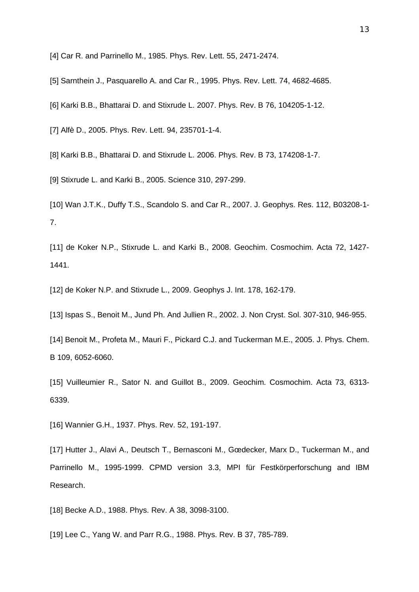[4] Car R. and Parrinello M., 1985. Phys. Rev. Lett. 55, 2471-2474.

[5] Sarnthein J., Pasquarello A. and Car R., 1995. Phys. Rev. Lett. 74, 4682-4685.

[6] Karki B.B., Bhattarai D. and Stixrude L. 2007. Phys. Rev. B 76, 104205-1-12.

[7] Alfè D., 2005. Phys. Rev. Lett. 94, 235701-1-4.

[8] Karki B.B., Bhattarai D. and Stixrude L. 2006. Phys. Rev. B 73, 174208-1-7.

[9] Stixrude L. and Karki B., 2005. Science 310, 297-299.

[10] Wan J.T.K., Duffy T.S., Scandolo S. and Car R., 2007. J. Geophys. Res. 112, B03208-1- 7.

[11] de Koker N.P., Stixrude L. and Karki B., 2008. Geochim. Cosmochim. Acta 72, 1427- 1441.

[12] de Koker N.P. and Stixrude L., 2009. Geophys J. Int. 178, 162-179.

[13] Ispas S., Benoit M., Jund Ph. And Jullien R., 2002. J. Non Cryst. Sol. 307-310, 946-955.

[14] Benoit M., Profeta M., Mauri F., Pickard C.J. and Tuckerman M.E., 2005. J. Phys. Chem. B 109, 6052-6060.

[15] Vuilleumier R., Sator N. and Guillot B., 2009. Geochim. Cosmochim. Acta 73, 6313-6339.

[16] Wannier G.H., 1937. Phys. Rev. 52, 191-197.

[17] Hutter J., Alavi A., Deutsch T., Bernasconi M., Gœdecker, Marx D., Tuckerman M., and Parrinello M., 1995-1999. CPMD version 3.3, MPI für Festkörperforschung and IBM Research.

[18] Becke A.D., 1988. Phys. Rev. A 38, 3098-3100.

[19] Lee C., Yang W. and Parr R.G., 1988. Phys. Rev. B 37, 785-789.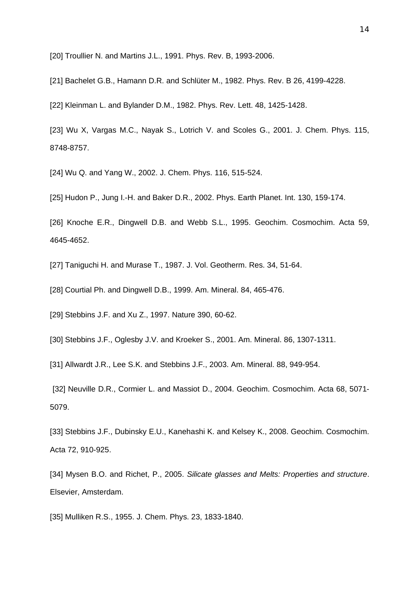[20] Troullier N. and Martins J.L., 1991. Phys. Rev. B, 1993-2006.

[21] Bachelet G.B., Hamann D.R. and Schlüter M., 1982. Phys. Rev. B 26, 4199-4228.

[22] Kleinman L. and Bylander D.M., 1982. Phys. Rev. Lett. 48, 1425-1428.

[23] Wu X, Vargas M.C., Nayak S., Lotrich V. and Scoles G., 2001. J. Chem. Phys. 115, 8748-8757.

[24] Wu Q. and Yang W., 2002. J. Chem. Phys. 116, 515-524.

[25] Hudon P., Jung I.-H. and Baker D.R., 2002. Phys. Earth Planet. Int. 130, 159-174.

[26] Knoche E.R., Dingwell D.B. and Webb S.L., 1995. Geochim. Cosmochim. Acta 59, 4645-4652.

[27] Taniguchi H. and Murase T., 1987. J. Vol. Geotherm. Res. 34, 51-64.

[28] Courtial Ph. and Dingwell D.B., 1999. Am. Mineral. 84, 465-476.

[29] Stebbins J.F. and Xu Z., 1997. Nature 390, 60-62.

[30] Stebbins J.F., Oglesby J.V. and Kroeker S., 2001. Am. Mineral. 86, 1307-1311.

[31] Allwardt J.R., Lee S.K. and Stebbins J.F., 2003. Am. Mineral. 88, 949-954.

[32] Neuville D.R., Cormier L. and Massiot D., 2004. Geochim. Cosmochim. Acta 68, 5071-5079.

[33] Stebbins J.F., Dubinsky E.U., Kanehashi K. and Kelsey K., 2008. Geochim. Cosmochim. Acta 72, 910-925.

[34] Mysen B.O. and Richet, P., 2005. *Silicate glasses and Melts: Properties and structure*. Elsevier, Amsterdam.

[35] Mulliken R.S., 1955. J. Chem. Phys. 23, 1833-1840.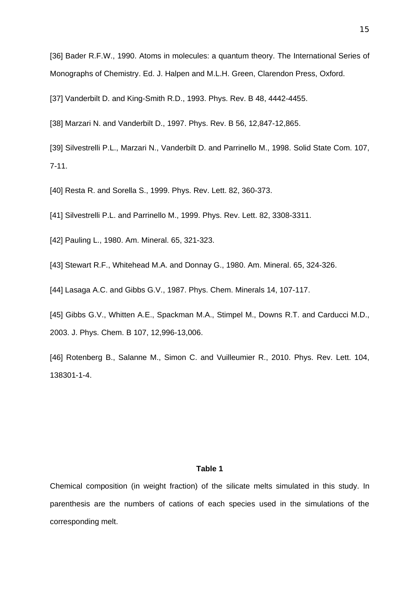[36] Bader R.F.W., 1990. Atoms in molecules: a quantum theory. The International Series of Monographs of Chemistry. Ed. J. Halpen and M.L.H. Green, Clarendon Press, Oxford.

[37] Vanderbilt D. and King-Smith R.D., 1993. Phys. Rev. B 48, 4442-4455.

[38] Marzari N. and Vanderbilt D., 1997. Phys. Rev. B 56, 12,847-12,865.

[39] Silvestrelli P.L., Marzari N., Vanderbilt D. and Parrinello M., 1998. Solid State Com. 107, 7-11.

[40] Resta R. and Sorella S., 1999. Phys. Rev. Lett. 82, 360-373.

[41] Silvestrelli P.L. and Parrinello M., 1999. Phys. Rev. Lett. 82, 3308-3311.

[42] Pauling L., 1980. Am. Mineral. 65, 321-323.

[43] Stewart R.F., Whitehead M.A. and Donnay G., 1980. Am. Mineral. 65, 324-326.

[44] Lasaga A.C. and Gibbs G.V., 1987. Phys. Chem. Minerals 14, 107-117.

[45] Gibbs G.V., Whitten A.E., Spackman M.A., Stimpel M., Downs R.T. and Carducci M.D., 2003. J. Phys. Chem. B 107, 12,996-13,006.

[46] Rotenberg B., Salanne M., Simon C. and Vuilleumier R., 2010. Phys. Rev. Lett. 104, 138301-1-4.

### **Table 1**

Chemical composition (in weight fraction) of the silicate melts simulated in this study. In parenthesis are the numbers of cations of each species used in the simulations of the corresponding melt.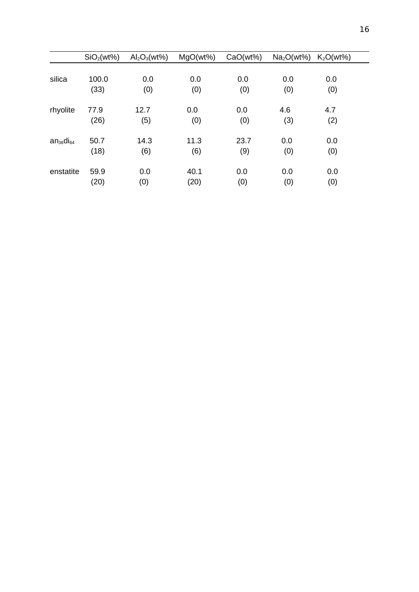|                  | SiO <sub>2</sub> (wt%) | $Al_2O_3(wt\%)$ | MgO(wt%) | CaO(wt%) | $Na2O(wt%)$ $K2O(wt%)$ |     |
|------------------|------------------------|-----------------|----------|----------|------------------------|-----|
|                  |                        |                 |          |          |                        |     |
| silica           | 100.0                  | 0.0             | 0.0      | 0.0      | 0.0                    | 0.0 |
|                  | (33)                   | (0)             | (0)      | (0)      | (0)                    | (0) |
| rhyolite         | 77.9                   | 12.7            | 0.0      | 0.0      | 4.6                    | 4.7 |
|                  | (26)                   | (5)             | (0)      | (0)      | (3)                    | (2) |
| $an_{36}di_{64}$ | 50.7                   | 14.3            | 11.3     | 23.7     | 0.0                    | 0.0 |
|                  | (18)                   | (6)             | (6)      | (9)      | (0)                    | (0) |
| enstatite        | 59.9                   | 0.0             | 40.1     | 0.0      | 0.0                    | 0.0 |
|                  | (20)                   | (0)             | (20)     | (0)      | (0)                    | (0) |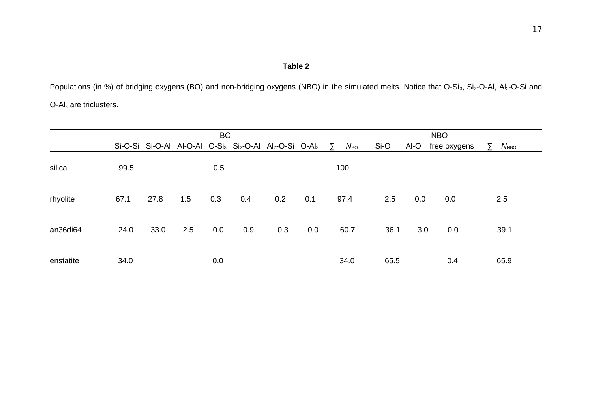# **Table 2**

Populations (in %) of bridging oxygens (BO) and non-bridging oxygens (NBO) in the simulated melts. Notice that O-Si<sub>3</sub>, Si<sub>2</sub>-O-Al, Al<sub>2</sub>-O-Si and O-Al3 are triclusters.

|           | <b>BO</b> |      |     |     |     |     |     | <b>NBO</b>                                                                                                                |      |      |              |                           |
|-----------|-----------|------|-----|-----|-----|-----|-----|---------------------------------------------------------------------------------------------------------------------------|------|------|--------------|---------------------------|
|           |           |      |     |     |     |     |     | Si-O-Si Si-O-Al Al-O-Al O-Si <sub>3</sub> Si <sub>2</sub> -O-Al Al <sub>2</sub> -O-Si O-Al <sub>3</sub> $\Sigma = N_{BO}$ | Si-O | Al-O | free oxygens | $\Sigma = N_{\text{NBO}}$ |
| silica    | 99.5      |      |     | 0.5 |     |     |     | 100.                                                                                                                      |      |      |              |                           |
| rhyolite  | 67.1      | 27.8 | 1.5 | 0.3 | 0.4 | 0.2 | 0.1 | 97.4                                                                                                                      | 2.5  | 0.0  | 0.0          | 2.5                       |
| an36di64  | 24.0      | 33.0 | 2.5 | 0.0 | 0.9 | 0.3 | 0.0 | 60.7                                                                                                                      | 36.1 | 3.0  | 0.0          | 39.1                      |
| enstatite | 34.0      |      |     | 0.0 |     |     |     | 34.0                                                                                                                      | 65.5 |      | 0.4          | 65.9                      |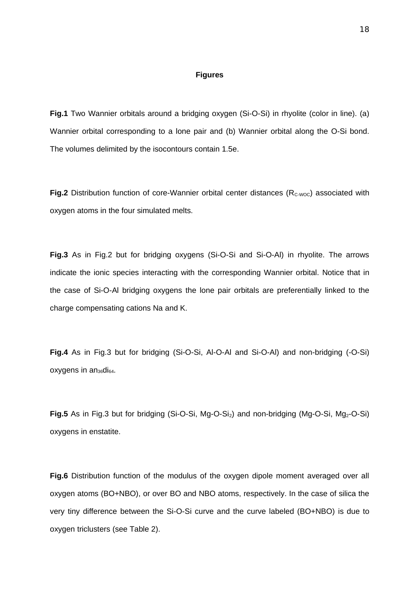#### **Figures**

**Fig.1** Two Wannier orbitals around a bridging oxygen (Si-O-Si) in rhyolite (color in line). (a) Wannier orbital corresponding to a lone pair and (b) Wannier orbital along the O-Si bond. The volumes delimited by the isocontours contain 1.5e.

**Fig.2** Distribution function of core-Wannier orbital center distances ( $R_{\text{c-}woc}$ ) associated with oxygen atoms in the four simulated melts.

**Fig.3** As in Fig.2 but for bridging oxygens (Si-O-Si and Si-O-Al) in rhyolite. The arrows indicate the ionic species interacting with the corresponding Wannier orbital. Notice that in the case of Si-O-Al bridging oxygens the lone pair orbitals are preferentially linked to the charge compensating cations Na and K.

**Fig.4** As in Fig.3 but for bridging (Si-O-Si, Al-O-Al and Si-O-Al) and non-bridging (-O-Si)  $o$ xygens in an $36$ di $64$ .

**Fig.5** As in Fig.3 but for bridging (Si-O-Si, Mg-O-Si<sub>2</sub>) and non-bridging (Mg-O-Si, Mg<sub>2</sub>-O-Si) oxygens in enstatite.

**Fig.6** Distribution function of the modulus of the oxygen dipole moment averaged over all oxygen atoms (BO+NBO), or over BO and NBO atoms, respectively. In the case of silica the very tiny difference between the Si-O-Si curve and the curve labeled (BO+NBO) is due to oxygen triclusters (see Table 2).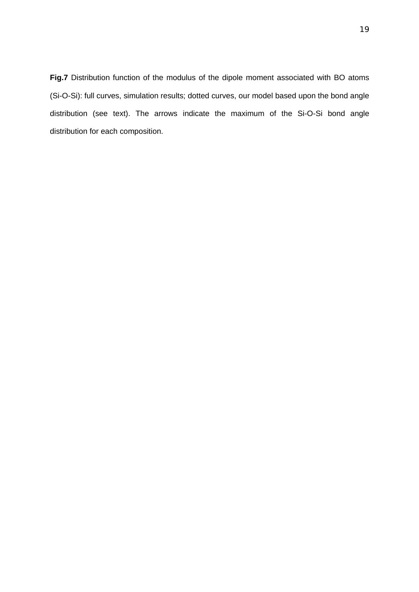**Fig.7** Distribution function of the modulus of the dipole moment associated with BO atoms (Si-O-Si): full curves, simulation results; dotted curves, our model based upon the bond angle distribution (see text). The arrows indicate the maximum of the Si-O-Si bond angle distribution for each composition.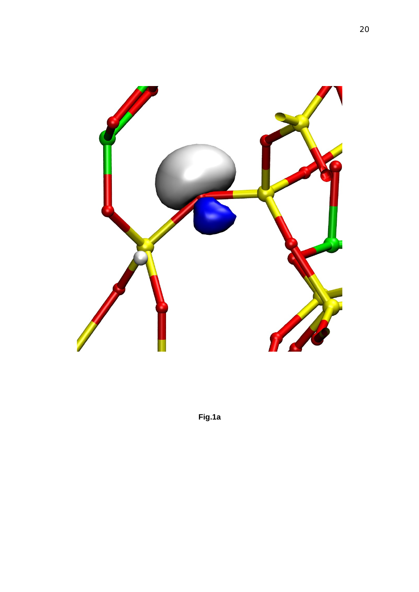

**Fig.1a**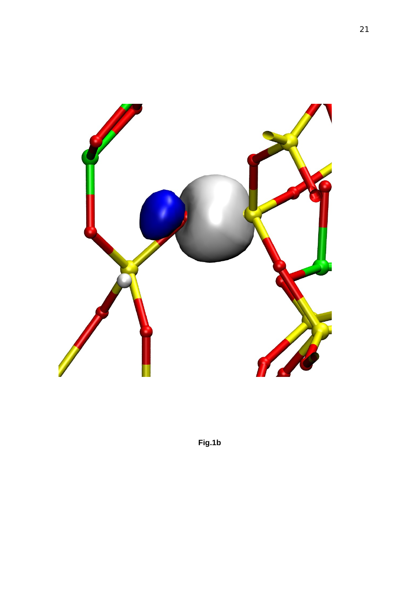

**Fig.1b**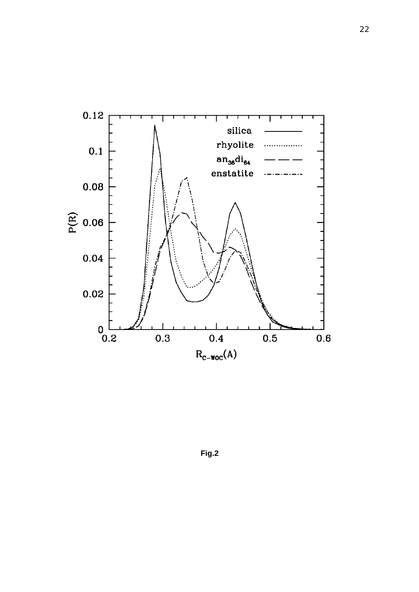

**Fig.2**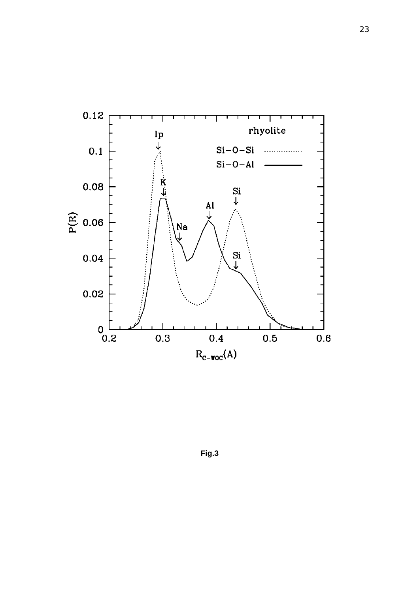

**Fig.3**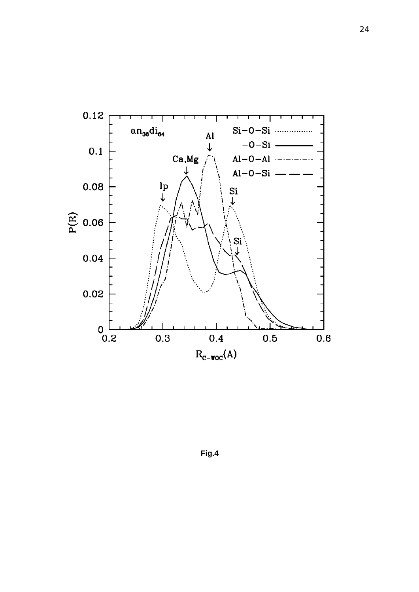

**Fig.4**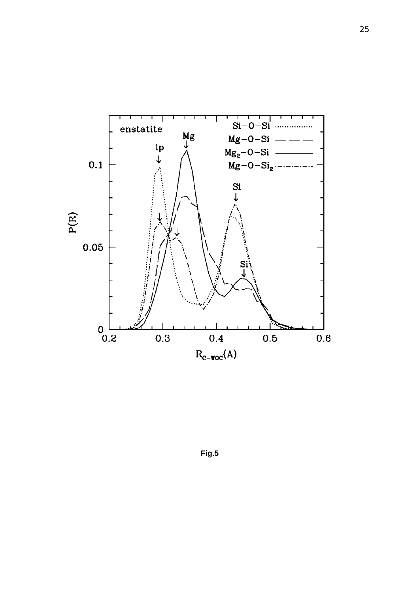

**Fig.5**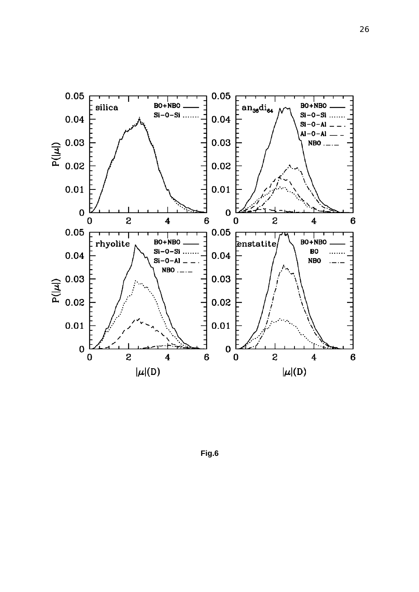

**Fig.6**